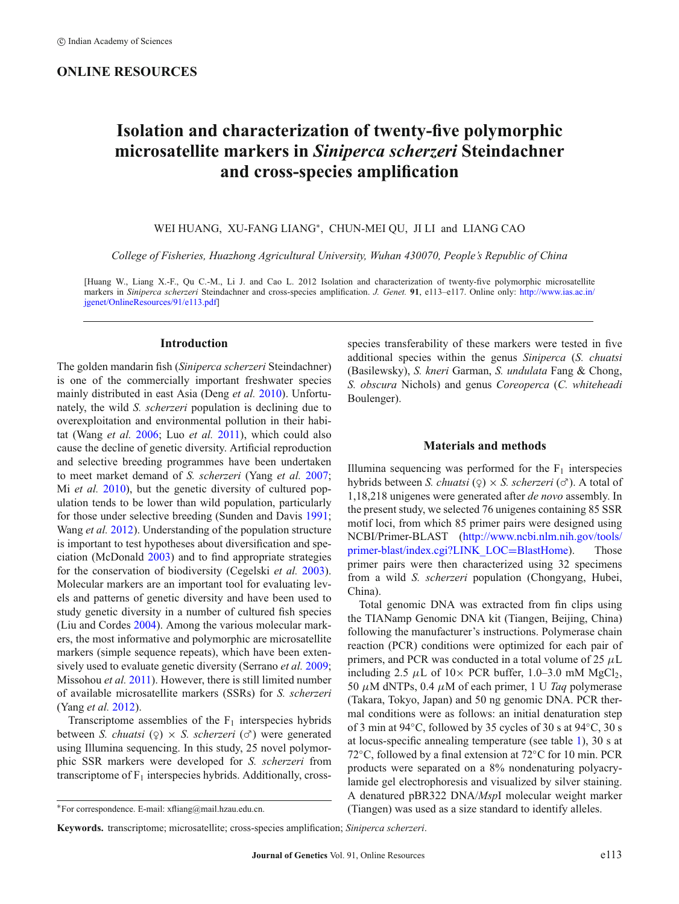## **ONLINE RESOURCES**

# **Isolation and characterization of twenty-five polymorphic microsatellite markers in** *Siniperca scherzeri* **Steindachner and cross-species amplification**

WEI HUANG, XU-FANG LIANG<sup>∗</sup>, CHUN-MEI QU, JI LI and LIANG CAO

*College of Fisheries, Huazhong Agricultural University, Wuhan 430070, People's Republic of China*

[Huang W., Liang X.-F., Qu C.-M., Li J. and Cao L. 2012 Isolation and characterization of twenty-five polymorphic microsatellite markers in *Siniperca scherzeri* Steindachner and cross-species amplification. *J. Genet.* **91**, e113–e117. Online only: [http://www.ias.ac.in/](http://www.ias.ac.in/jgenet/OnlineResources/91/e113.pdf) [jgenet/OnlineResources/91/e113.pdf\]](http://www.ias.ac.in/jgenet/OnlineResources/91/e113.pdf)

### **Introduction**

The golden mandarin fish (*Siniperca scherzeri* Steindachner) is one of the commercially important freshwater species mainly distributed in east Asia (Deng *et al[.](#page-3-0)* [2010](#page-3-0)). Unfortunately, the wild *S. scherzeri* population is declining due to overexploitation and environmental pollution in their habitat (Wang *et al[.](#page-4-0)* [2006](#page-4-0); Luo *et al[.](#page-3-1)* [2011\)](#page-3-1), which could also cause the decline of genetic diversity. Artificial reproduction and selective breeding programmes have been undertaken to meet market demand of *S. scherzeri* (Yang *et al[.](#page-4-1)* [2007](#page-4-1); Mi *et al[.](#page-4-2)* [2010](#page-4-2)), but the genetic diversity of cultured population tends to be lower than wild population, particularly for those under selective breeding (Sunden and Davi[s](#page-4-3) [1991](#page-4-3); Wang *et al[.](#page-4-4)* [2012](#page-4-4)). Understanding of the population structure is important to test hypotheses about diversification and speciation (McDonal[d](#page-4-5) [2003\)](#page-4-5) and to find appropriate strategies for the conservation of biodiversity (Cegelski *et al[.](#page-3-2)* [2003](#page-3-2)). Molecular markers are an important tool for evaluating levels and patterns of genetic diversity and have been used to study genetic diversity in a number of cultured fish species (Liu and Corde[s](#page-3-3) [2004](#page-3-3)). Among the various molecular markers, the most informative and polymorphic are microsatellite markers (simple sequence repeats), which have been extensively used to evaluate genetic diversity (Serrano *et al[.](#page-4-6)* [2009](#page-4-6); Missohou *et al[.](#page-4-7)* [2011\)](#page-4-7). However, there is still limited number of available microsatellite markers (SSRs) for *S. scherzeri* (Yang *et al[.](#page-4-8)* [2012\)](#page-4-8).

Transcriptome assemblies of the  $F_1$  interspecies hybrids between *S. chuatsi* (♀) × *S. scherzeri* (♂) were generated using Illumina sequencing. In this study, 25 novel polymorphic SSR markers were developed for *S. scherzeri* from transcriptome of  $F_1$  interspecies hybrids. Additionally, cross-

**Keywords.** transcriptome; microsatellite; cross-species amplification; *Siniperca scherzeri*.

species transferability of these markers were tested in five additional species within the genus *Siniperca* (*S. chuatsi* (Basilewsky), *S. kneri* Garman, *S. undulata* Fang & Chong, *S. obscura* Nichols) and genus *Coreoperca* (*C. whiteheadi* Boulenger).

#### **Materials and methods**

Illumina sequencing was performed for the  $F_1$  interspecies hybrids between *S. chuatsi* (♀) × *S. scherzeri* (♂). A total of 1,18,218 unigenes were generated after *de novo* assembly. In the present study, we selected 76 unigenes containing 85 SSR motif loci, from which 85 primer pairs were designed using NCBI/Primer-BLAST [\(http://www.ncbi.nlm.nih.gov/tools/](http://www.ncbi.nlm.nih.gov/tools/primer-blast/index.cgi?LINK_LOC=BlastHome) [primer-blast/index.cgi?LINK\\_LOC](http://www.ncbi.nlm.nih.gov/tools/primer-blast/index.cgi?LINK_LOC=BlastHome)=BlastHome). Those primer pairs were then characterized using 32 specimens from a wild *S. scherzeri* population (Chongyang, Hubei, China).

Total genomic DNA was extracted from fin clips using the TIANamp Genomic DNA kit (Tiangen, Beijing, China) following the manufacturer's instructions. Polymerase chain reaction (PCR) conditions were optimized for each pair of primers, and PCR was conducted in a total volume of 25  $\mu$ L including 2.5  $\mu$ L of 10× PCR buffer, 1.0–3.0 mM MgCl<sub>2</sub>, 50 μM dNTPs, 0.4 μM of each primer, 1 U *Taq* polymerase (Takara, Tokyo, Japan) and 50 ng genomic DNA. PCR thermal conditions were as follows: an initial denaturation step of 3 min at 94◦C, followed by 35 cycles of 30 s at 94◦C, 30 s at locus-specific annealing temperature (see table [1\)](#page-1-0), 30 s at 72◦C, followed by a final extension at 72◦C for 10 min. PCR products were separated on a 8% nondenaturing polyacrylamide gel electrophoresis and visualized by silver staining. A denatured pBR322 DNA/*Msp*I molecular weight marker (Tiangen) was used as a size standard to identify alleles.

<sup>∗</sup>For correspondence. E-mail: xfliang@mail.hzau.edu.cn.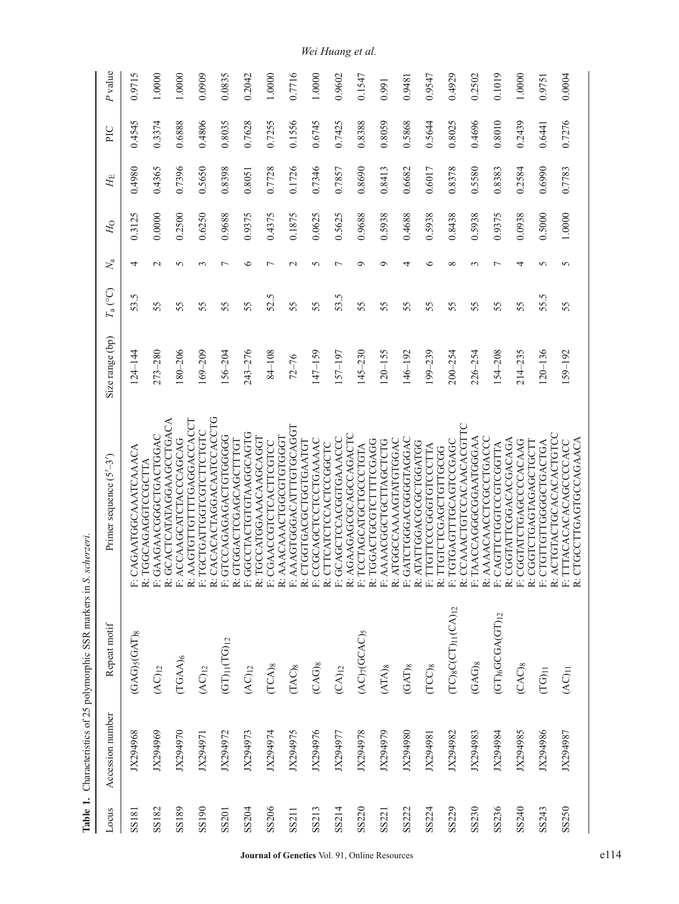| Locus | Accession number | Repeat motif                                                      | Primer sequence $(5'-3')$                                                                       | Size range (bp) | $T_a$ (°C) | $N_{\rm a}$ | Ho     | $H_{\rm E}$ | DІС    | P value |
|-------|------------------|-------------------------------------------------------------------|-------------------------------------------------------------------------------------------------|-----------------|------------|-------------|--------|-------------|--------|---------|
| SS181 | IX294968         | $(GAG)$ <sub>5</sub> $(GAT)$ <sub>8</sub>                         | CAGAATGGCAAATCAAACA<br>TGGCAGAGGTCCGCTTA                                                        | $124 - 144$     | 53.5       | 4           | 0.3125 | 0.4980      | 0.4545 | 0.9715  |
| SS182 | JX294969         | $(AC)_{12}$                                                       | <b>GCACTCATATAGGAAGCCTGACA</b><br>GAAGAACGGCTGACTGGAC<br>$\ddot{\approx}$                       | 273-280         | 55         |             | 0.0000 | 0.4365      | 0.3374 | 1.0000  |
| SS189 | JX294970         | $(TGAA)_6$                                                        | AAGTGTTGTTTGAGGACCACCT<br>ACCAAGCATCTACCCAGCAG<br>$\dot{\underline{\omega}}$                    | 180-206         | 55         | n           | 0.2500 | 0.7396      | 0.6888 | 1.0000  |
| SS190 | JX294971         | $(AC)_{12}$                                                       | CACACACTAGGACAATCCACCTG<br>TGCTGATTGGTCGTCTTCTGTC<br>$\dot{\simeq}$                             | $169 - 209$     | 55         |             | 0.6250 | 0.5650      | 0.4806 | 0.0909  |
| SS201 | IX294972         | $\rm (GT)_{11}(TG)_{12}$                                          | GTCCAGAGACTGTGGGGG<br>GTGGACTCGAGCAGCTTTGT<br>$\dot{\simeq}$                                    | $156 - 204$     | 55         |             | 0.9688 | 0.8398      | 0.8035 | 0.0835  |
| SS204 | JX294973         | $\rm{(AC)_{12}}$                                                  | GCCTACTGTAAGGCAGTG<br>TGCCATGGAAACAAGCAGGT<br>≃                                                 | $243 - 276$     | 55         | ∘           | 0.9375 | 0.8051      | 0.7628 | 0.2042  |
| SS206 | JX294974         | $(\mathsf{ICA})_8$                                                | AAACAAACTGCGTGTGGGT<br>CGAACCGTCTCACTTCGTCC<br>$\dot{\approx}$                                  | 84-108          | 52.5       |             | 0.4375 | 0.7728      | 0.7255 | 1.0000  |
| SS211 | JX294975         | $(\mathrm{TAC})_8$                                                | AAAGTGGGACATTTGTGCAGGT<br>CTGGTGACGCTGGTGAATGT<br>$\dot{\simeq}$                                | $72 - 76$       | 55         |             | 0.1875 | 0.1726      | 0.1556 | 0.7716  |
| SS213 | JX294976         | ${\rm (CAG)_8}$                                                   | CCGCAGCTCCTCCTGAAAAC<br>CTTCATCTCCACTCCGCTC<br>ż                                                | $147 - 159$     | 55         | 5           | 0.0625 | 0.7346      | 0.6745 | 1.0000  |
| SS214 | JX294977         | $(CA)_{12}$                                                       | AGAAGAGCGCAGCCAGACTC<br>GCAGCTCCACGGTGAAACCC<br>⇄                                               | 157-197         | 53.5       |             | 0.5625 | 0.7857      | 0.7425 | 0.9602  |
| SS220 | JX294978         | $(AC)$ <sub>7</sub> (GCAC) <sub>5</sub>                           | TGGACTGCGTCTTTCGAGG<br>TCCTAGCATGCTGCCCTGTA<br>∻                                                | $145 - 230$     | 55         |             | 0.9688 | 0.8690      | 0.8388 | 0.1547  |
| SS221 | JX294979         | $\left( \mathrm{ATA} \right)_{8}$                                 | ATGGCCAAAAGTATGGGAC<br>AAAACGGCTGCTTAGCTCTG<br>≃                                                | $120 - 155$     | 55         | σ           | 0.5938 | 0.8413      | 0.8059 | 0.991   |
| SS222 | JX294980         | $\rm(GAT)_8$                                                      | GATCTGGGACGGGTAGGAC<br>ATATTGGACGCCTGGATGG                                                      | $146 - 192$     | 55         |             | 0.4688 | 0.6682      | 0.5868 | 0.9481  |
| SS224 | JX294981         | $(TCC)$ 8                                                         | TTGTTCCCGGGTGTCCCTTA<br><b>TTGTCTCGAGCTGTTGCGG</b><br>卒在<br>$\dot{\simeq}$                      | 199-239         | 55         | ٥           | 0.5938 | 0.6017      | 0.5644 | 0.9547  |
| SS229 | JX294982         | $TC$ ) <sub>8</sub> $C$ $(CT)$ <sub>11</sub> $(CA)$ <sub>12</sub> | CCAAACTGTCCACAACACGTTC<br>TGTGAGTTTGCAGTCCGAGC<br>亡                                             | $200 - 254$     | 55         | $\infty$    | 0.8438 | 0.8378      | 0.8025 | 0.4929  |
| SS230 | JX294983         | $\rm (GAG)_8$                                                     | TAACCAGGGGGAATGGGAA<br>AAAACAACCTCGCCTGACCC<br>$\dot{\underline{\kappa}}$<br>$\ddot{\alpha}$ in | 226-254         | 55         | $\sim$      | 0.5938 | 0.5580      | 0.4696 | 0.2502  |
| SS236 | JX294984         | $(GT)_6GCGA(GT)_{12}$                                             | CGGTATTCGGACACGACAGA<br>CAGTTCTGGTCGTCGGTTA<br>面窗面                                              | 154-208         | 55         |             | 0.9375 | 0.8383      | 0.8010 | 0.1019  |
| SS240 | IX294985         | $\rm (CAC)_8$                                                     | CGGTATCTGAGCCCACAAG<br>CGGTCTGAGTAGAGCTGCTT                                                     | $214 - 235$     | 55         |             | 0.0938 | 0.2584      | 0.2439 | 1.0000  |
| SS243 | JX294986         | $(\mathrm{T}\mathrm{G})_{11}$                                     | ACTGTACTGCACACACTGTCC<br>CTGTTGTTGGCTGACTGA<br><b>ALALA</b>                                     | $120 - 136$     | 55.5       | n           | 0.5000 | 0.6990      | 0.6441 | 0.9751  |
| SS250 | JX294987         | $(AC)_{11}$                                                       | CTGCCTTGAGTGCCAGAACA<br><b>TTACACACACAGCCCACC</b>                                               | 159-192         | 55         | 5           | 1.0000 | 0.7783      | 0.7276 | 0.0004  |

*Wei Huang et al.*

<span id="page-1-0"></span>Table 1. Characteristics of 25 polymorphic SSR markers in S. scherzeri. **Table 1.** Characteristics of 25 polymorphic SSR markers in *S. scherzeri*.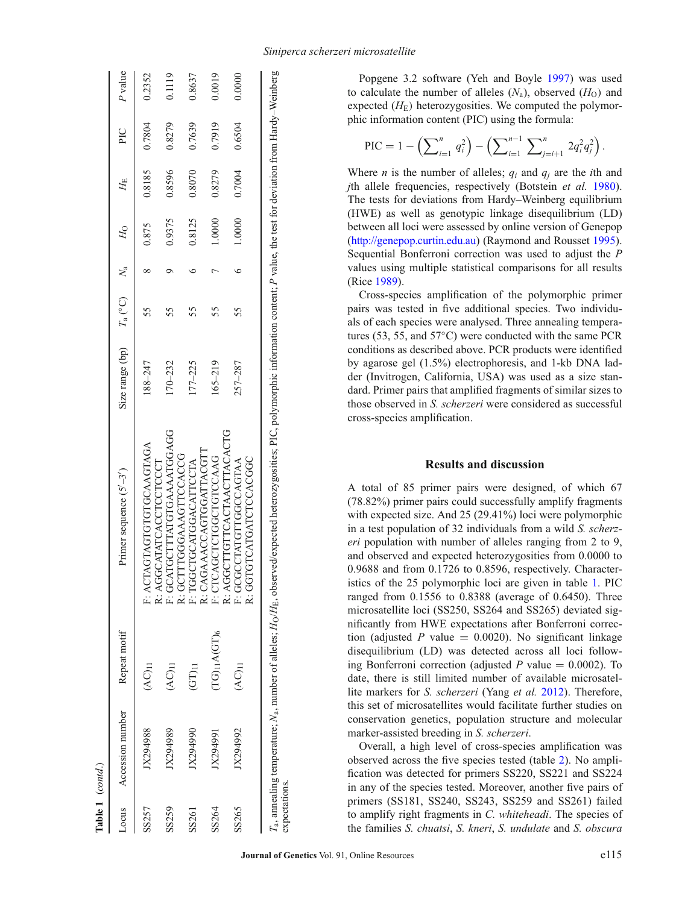| Locus | Accession number | Repeat motif                   | Primer sequence $(5'-3')$                            | Size range (bp) $T_a (^{\circ}C)$ $N_a$ $H_0$ |    |        | $H_{\rm E}$ | ÞIC    | P value |
|-------|------------------|--------------------------------|------------------------------------------------------|-----------------------------------------------|----|--------|-------------|--------|---------|
| SS257 | JX294988         | $(AC)_{11}$                    | F: ACTAGTAGTGCAAGTAGA<br>R: AGGCATATCACCTCCTCCT      | 188-247                                       |    | 0.875  | 0.8185      | 0.7804 | 0.2352  |
| SS259 | K294989          | $\overline{\text{A}}$ C)<br>11 | F: GCATGCTTATGAAAATGGAGG<br>R: GCTTTGGAAAGTTCCACCG   | $170 - 232$                                   |    | 0.9375 | 0.8596      | 0.8279 | 0.1119  |
| SS261 | JX294990         | (T1)                           | R: CAGAAACCAGTGGATTACGTT<br>F: TGGCTGCATGGACATTCCTA  | $177 - 225$                                   | 55 | 0.8125 | 0.8070      | 0.7639 | 0.8637  |
| SS264 | JX294991         | $(TG)_{11}A(GT)_{6}$           | R: AGGCTTGTTCACTAACTTACACTG<br>F: CTCAGCTCGCTGTCCAAG | $165 - 219$                                   |    | 1.0000 | 0.8279      | 0.7919 | 0.0019  |
| SS265 | JX294992         | $(AC)_{11}$                    | R: GGTGTCATGATCCACGGC<br>F: GCGCCTATGTTGCCAGTAA      | 257–287                                       | 55 | 1.0000 | 0.7004      | 0.6504 | 0.0000  |

Table 1 (contd.)

Popgene 3.2 software (Yeh and Boyl[e](#page-4-9) [1997\)](#page-4-9) was used to calculate the number of alleles  $(N_a)$ , observed  $(H_0)$  and expected  $(H<sub>E</sub>)$  heterozygosities. We computed the polymorphic information content (PIC) using the formula:

$$
\text{PIC} = 1 - \left(\sum_{i=1}^{n} q_i^2\right) - \left(\sum_{i=1}^{n-1} \sum_{j=i+1}^{n} 2q_i^2 q_j^2\right).
$$

Where *n* is the number of alleles;  $q_i$  and  $q_j$  are the *i*th and *j*th allele frequencies, respectively (Botstein *et al[.](#page-3-4)* [1980](#page-3-4)). The tests for deviations from Hardy–Weinberg equilibrium (HWE) as well as genotypic linkage disequilibrium (LD) between all loci were assessed by online version of Genepop [\(http://genepop.curtin.edu.au\)](http://genepop.curtin.edu.au) (Raymond and Rousse[t](#page-4-10) [1995](#page-4-10)). Sequential Bonferroni correction was used to adjust the *P* values using multiple statistical comparisons for all results (Ric[e](#page-4-11) [1989\)](#page-4-11).

Cross-species amplification of the polymorphic primer pairs was tested in five additional species. Two individuals of each species were analysed. Three annealing temperatures (53, 55, and 57◦C) were conducted with the same PCR conditions as described above. PCR products were identified by agarose gel (1.5%) electrophoresis, and 1-kb DNA ladder (Invitrogen, California, USA) was used as a size standard. Primer pairs that amplified fragments of similar sizes to those observed in *S. scherzeri* were considered as successful cross-species amplification.

## **Results and discussion**

A total of 85 primer pairs were designed, of which 67 (78.82%) primer pairs could successfully amplify fragments with expected size. And 25 (29.41%) loci were polymorphic in a test population of 32 individuals from a wild *S. scherzeri* population with number of alleles ranging from 2 to 9, and observed and expected heterozygosities from 0.0000 to 0.9688 and from 0.1726 to 0.8596, respectively. Characteristics of the 25 polymorphic loci are given in table [1.](#page-1-0) PIC ranged from 0.1556 to 0.8388 (average of 0.6450). Three microsatellite loci (SS250, SS264 and SS265) deviated significantly from HWE expectations after Bonferroni correction (adjusted *P* value  $= 0.0020$ ). No significant linkage disequilibrium (LD) was detected across all loci following Bonferroni correction (adjusted  $P$  value  $= 0.0002$ ). To date, there is still limited number of available microsatellite markers for *S. scherzeri* (Yang *et al[.](#page-4-8)* [2012\)](#page-4-8). Therefore, this set of microsatellites would facilitate further studies on conservation genetics, population structure and molecular marker-assisted breeding in *S. scherzeri*.

Overall, a high level of cross-species amplification was observed across the five species tested (table [2\)](#page-3-5). No amplification was detected for primers SS220, SS221 and SS224 in any of the species tested. Moreover, another five pairs of primers (SS181, SS240, SS243, SS259 and SS261) failed to amplify right fragments in *C. whiteheadi*. The species of the families *S. chuatsi*, *S. kneri*, *S. undulate* and *S. obscura*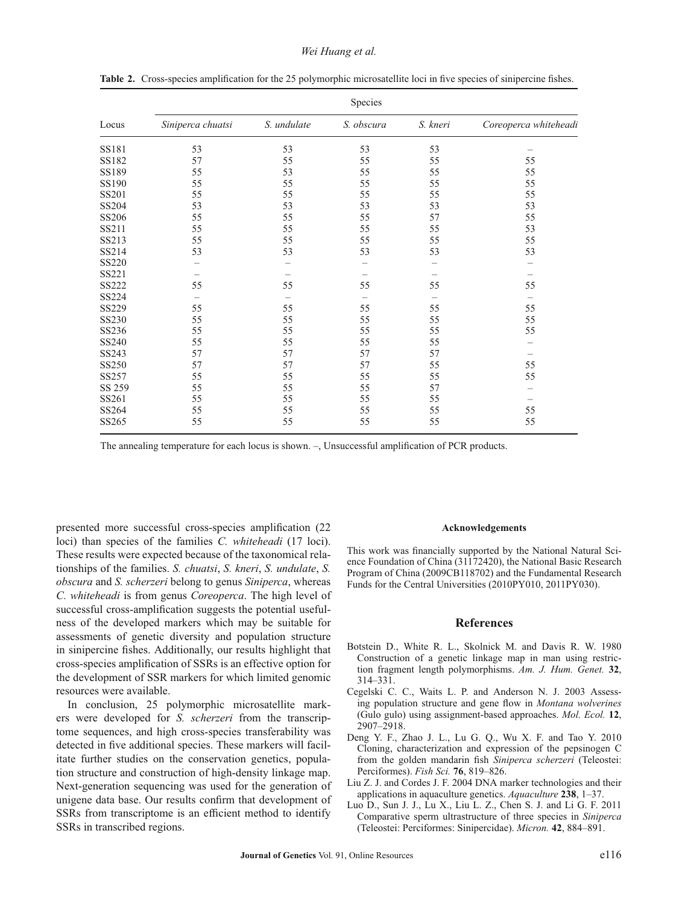|              |                          |             | Species                  |                   |                          |
|--------------|--------------------------|-------------|--------------------------|-------------------|--------------------------|
| Locus        | Siniperca chuatsi        | S. undulate | S. obscura               | S. kneri          | Coreoperca whiteheadi    |
| SS181        | 53                       | 53          | 53                       | 53                | $\qquad \qquad -$        |
| SS182        | 57                       | 55          | 55                       | 55                | 55                       |
| SS189        | 55                       | 53          | 55                       | 55                | 55                       |
| SS190        | 55                       | 55          | 55                       | 55                | 55                       |
| SS201        | 55                       | 55          | 55                       | 55                | 55                       |
| SS204        | 53                       | 53          | 53                       | 53                | 53                       |
| SS206        | 55                       | 55          | 55                       | 57                | 55                       |
| SS211        | 55                       | 55          | 55                       | 55                | 53                       |
| SS213        | 55                       | 55          | 55                       | 55                | 55                       |
| SS214        | 53                       | 53          | 53                       | 53                | 53                       |
| <b>SS220</b> | $\overline{\phantom{0}}$ |             | $\overline{\phantom{0}}$ |                   |                          |
| SS221        | —                        |             | —                        | $\qquad \qquad -$ | $\qquad \qquad -$        |
| <b>SS222</b> | 55                       | 55          | 55                       | 55                | 55                       |
| SS224        |                          |             |                          |                   | $\overline{\phantom{0}}$ |
| SS229        | 55                       | 55          | 55                       | 55                | 55                       |
| SS230        | 55                       | 55          | 55                       | 55                | 55                       |
| SS236        | 55                       | 55          | 55                       | 55                | 55                       |
| SS240        | 55                       | 55          | 55                       | 55                |                          |
| SS243        | 57                       | 57          | 57                       | 57                |                          |
| SS250        | 57                       | 57          | 57                       | 55                | 55                       |
| SS257        | 55                       | 55          | 55                       | 55                | 55                       |
| SS 259       | 55                       | 55          | 55                       | 57                |                          |
| SS261        | 55                       | 55          | 55                       | 55                | $\overline{\phantom{0}}$ |
| SS264        | 55                       | 55          | 55                       | 55                | 55                       |
| SS265        | 55                       | 55          | 55                       | 55                | 55                       |

<span id="page-3-5"></span>**Table 2.** Cross-species amplification for the 25 polymorphic microsatellite loci in five species of sinipercine fishes.

The annealing temperature for each locus is shown. –, Unsuccessful amplification of PCR products.

presented more successful cross-species amplification (22 loci) than species of the families *C. whiteheadi* (17 loci). These results were expected because of the taxonomical relationships of the families. *S. chuatsi*, *S. kneri*, *S. undulate*, *S. obscura* and *S. scherzeri* belong to genus *Siniperca*, whereas *C. whiteheadi* is from genus *Coreoperca*. The high level of successful cross-amplification suggests the potential usefulness of the developed markers which may be suitable for assessments of genetic diversity and population structure in sinipercine fishes. Additionally, our results highlight that cross-species amplification of SSRs is an effective option for the development of SSR markers for which limited genomic resources were available.

In conclusion, 25 polymorphic microsatellite markers were developed for *S. scherzeri* from the transcriptome sequences, and high cross-species transferability was detected in five additional species. These markers will facilitate further studies on the conservation genetics, population structure and construction of high-density linkage map. Next-generation sequencing was used for the generation of unigene data base. Our results confirm that development of SSRs from transcriptome is an efficient method to identify SSRs in transcribed regions.

#### **Acknowledgements**

This work was financially supported by the National Natural Science Foundation of China (31172420), the National Basic Research Program of China (2009CB118702) and the Fundamental Research Funds for the Central Universities (2010PY010, 2011PY030).

#### **References**

- <span id="page-3-4"></span>Botstein D., White R. L., Skolnick M. and Davis R. W. 1980 Construction of a genetic linkage map in man using restriction fragment length polymorphisms. *Am. J. Hum. Genet.* **32**, 314–331.
- <span id="page-3-2"></span>Cegelski C. C., Waits L. P. and Anderson N. J. 2003 Assessing population structure and gene flow in *Montana wolverines* (Gulo gulo) using assignment-based approaches. *Mol. Ecol.* **12**, 2907–2918.
- <span id="page-3-0"></span>Deng Y. F., Zhao J. L., Lu G. Q., Wu X. F. and Tao Y. 2010 Cloning, characterization and expression of the pepsinogen C from the golden mandarin fish *Siniperca scherzeri* (Teleostei: Perciformes). *Fish Sci.* **76**, 819–826.
- <span id="page-3-3"></span>Liu Z. J. and Cordes J. F. 2004 DNA marker technologies and their applications in aquaculture genetics. *Aquaculture* **238**, 1–37.
- <span id="page-3-1"></span>Luo D., Sun J. J., Lu X., Liu L. Z., Chen S. J. and Li G. F. 2011 Comparative sperm ultrastructure of three species in *Siniperca* (Teleostei: Perciformes: Sinipercidae). *Micron.* **42**, 884–891.